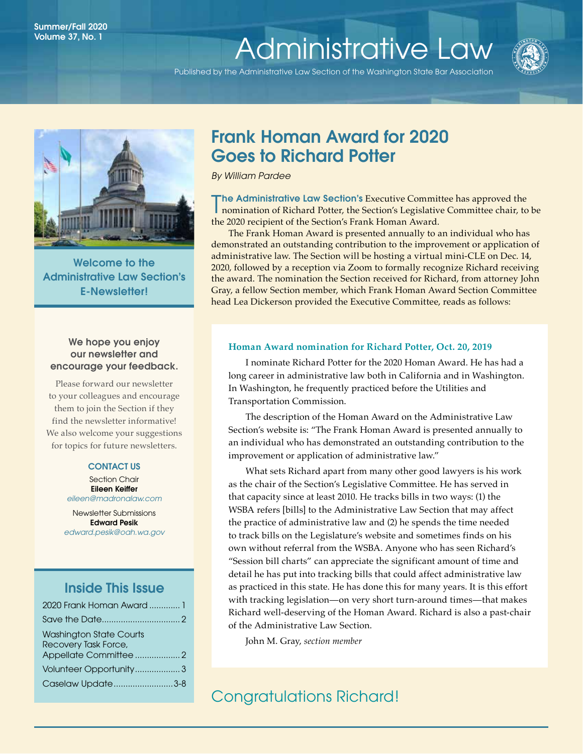# Summer/Fall 2020<br>Volume 37 No. 1 Volume 37, No. 1<br>[Administrative Law](http://www.wsba.org/lawyers/groups/administrativelaw/adminlaw.htm)

Published by the Administrative Law Section of the Washington State Bar Association





Welcome to the Administrative Law Section's E-Newsletter!

## We hope you enjoy our newsletter and encourage your feedback.

Please forward our newsletter to your colleagues and encourage them to join the Section if they find the newsletter informative! We also welcome your suggestions for topics for future newsletters.

## CONTACT US

Section Chair Eileen Keiffer *[eileen@madronalaw.com](mailto:eileen%40madronalaw.com%20?subject=)*

Newsletter Submissions Edward Pesik *[edward.pesik@oah.wa.gov](mailto:edward.pesik%40oah.wa.gov?subject=)*

# Inside This Issue

| 2020 Frank Homan Award  1                              |  |
|--------------------------------------------------------|--|
|                                                        |  |
| <b>Washington State Courts</b><br>Recovery Task Force, |  |
|                                                        |  |
| Volunteer Opportunity3                                 |  |
| Caselaw Update3-8                                      |  |

# Frank Homan Award for 2020 Goes to Richard Potter

*By William Pardee*

The Administrative Law Section's Executive Committee has approved the nomination of Richard Potter, the Section's Legislative Committee chair, to nomination of Richard Potter, the Section's Legislative Committee chair, to be the 2020 recipient of the Section's Frank Homan Award.

The Frank Homan Award is presented annually to an individual who has demonstrated an outstanding contribution to the improvement or application of administrative law. The Section will be hosting a virtual mini-CLE on Dec. 14, 2020, followed by a reception via Zoom to formally recognize Richard receiving the award. The nomination the Section received for Richard, from attorney John Gray, a fellow Section member, which Frank Homan Award Section Committee head Lea Dickerson provided the Executive Committee, reads as follows:

### **Homan Award nomination for Richard Potter, Oct. 20, 2019**

I nominate Richard Potter for the 2020 Homan Award. He has had a long career in administrative law both in California and in Washington. In Washington, he frequently practiced before the Utilities and Transportation Commission.

The description of the Homan Award on the Administrative Law Section's website is: "The Frank Homan Award is presented annually to an individual who has demonstrated an outstanding contribution to the improvement or application of administrative law."

What sets Richard apart from many other good lawyers is his work as the chair of the Section's Legislative Committee. He has served in that capacity since at least 2010. He tracks bills in two ways: (1) the WSBA refers [bills] to the Administrative Law Section that may affect the practice of administrative law and (2) he spends the time needed to track bills on the Legislature's website and sometimes finds on his own without referral from the WSBA. Anyone who has seen Richard's "Session bill charts" can appreciate the significant amount of time and detail he has put into tracking bills that could affect administrative law as practiced in this state. He has done this for many years. It is this effort with tracking legislation—on very short turn-around times—that makes Richard well-deserving of the Homan Award. Richard is also a past-chair of the Administrative Law Section.

John M. Gray, *section member*

Congratulations Richard!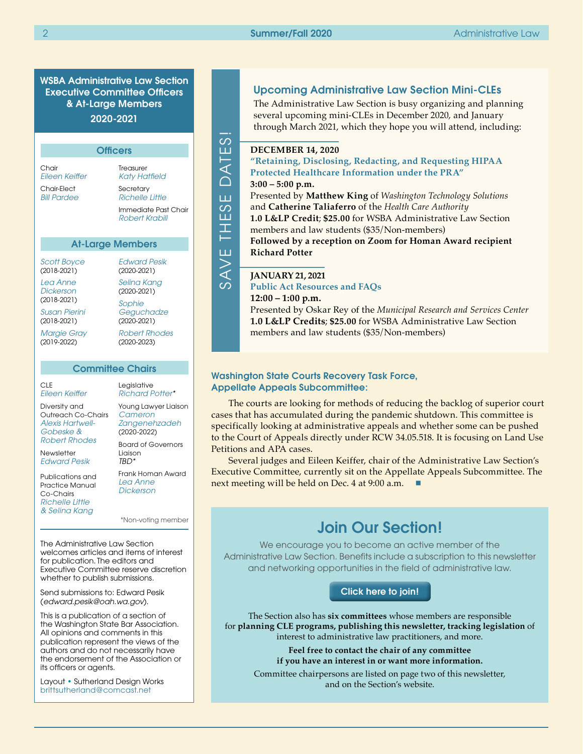WSBA Administrative Law Section Executive Committee Officers & At-Large Members 2020-2021

| <b>Officers</b>                                   |                                        |  |
|---------------------------------------------------|----------------------------------------|--|
| Chair<br>Fileen Keiffer                           | Treasurer<br>Katy Hatfield             |  |
| Chair-Flect<br><b>Bill Pardee</b>                 | Secretary<br>Richelle Little           |  |
|                                                   | Immediate Past Chair<br>Robert Krabill |  |
| <b>At-Large Members</b>                           |                                        |  |
| <i>Scott Boyce</i><br>$(2018 - 2021)$<br>Lea Anne | Fdward Pesik<br>$(2020-2021)$          |  |
| Dickerson<br>$(2018 - 2021)$                      | Selina Kang<br>(2020-2021)<br>Sophie   |  |
| <b>Susan Pierini</b><br>$(2018 - 2021)$           | Geguchadze<br>(2020-2021)              |  |
| <b>Margie Gray</b><br>(2019-2022)                 | <b>Robert Rhodes</b><br>(2020-2023)    |  |

#### Committee Chairs

CLE *[Eileen Keiffer](https://www.mywsba.org/PersonifyEbusiness/LegalDirectory/LegalProfile.aspx?Usr_ID=000000051598)* Diversity and Outreach Co-Chairs *[Alexis Hartwell-](https://www.mywsba.org/PersonifyEbusiness/LegalDirectory/LegalProfile.aspx?Usr_ID=000000047222)[Gobeske](https://www.mywsba.org/PersonifyEbusiness/LegalDirectory/LegalProfile.aspx?Usr_ID=000000047222) & [Robert Rhodes](https://www.mywsba.org/PersonifyEbusiness/LegalDirectory/LegalProfile.aspx?Usr_ID=000000031089)* **Newsletter** *[Edward Pesik](mailto:edward.pesik%40oah.wa.gov?subject=)* Publications and Practice Manual Co-Chairs *TBD\**

*[Richelle Little](https://www.mywsba.org/PersonifyEbusiness/LegalDirectory/LegalProfile.aspx?Usr_ID=000000039687)  & [Selina Kang](mailto:selinapkang%40gmail.com?subject=)* *[Cameron](mailto:zangeneh%40seattleu.edu?subject=)  [Zangenehzadeh](mailto:zangeneh%40seattleu.edu?subject=)*  (2020-2022) Board of Governors Liaison Frank Homan Award

*[Lea Anne](https://www.mywsba.org/PersonifyEbusiness/Default.aspx?TabID=1538&Usr_ID=000000047216)  [Dickerson](https://www.mywsba.org/PersonifyEbusiness/Default.aspx?TabID=1538&Usr_ID=000000047216)*

The Administrative Law Section welcomes articles and items of interest for publication. The editors and Executive Committee reserve discretion whether to publish submissions.

Send submissions to: Edward Pesik (*[edward.pesik@oah.wa.gov](mailto:edward.pesik%40oah.wa.gov?subject=)*).

This is a publication of a section of the Washington State Bar Association. All opinions and comments in this publication represent the views of the authors and do not necessarily have the endorsement of the Association or its officers or agents.

Layout • Sutherland Design Works [brittsutherland@comcast.net](mailto:brittsutherland%40comcast.net?subject=WSBA)

## Upcoming Administrative Law Section Mini-CLEs

The Administrative Law Section is busy organizing and planning several upcoming mini-CLEs in December 2020, and January through March 2021, which they hope you will attend, including:

#### SAVE THESE DATES!  $\frac{3}{2}$ **DECEMBER 14, 2020**  $\overline{5}$ **"Retaining, Disclosing, Redacting, and Requesting HIPAA Protected Healthcare Information under the PRA"**   $\cap$ **3:00 – 5:00 p.m.** Presented by **Matthew King** of *Washington Technology Solutions* ш and **Catherine Taliaferro** of the *Health Care Authority*  တ ĹÚ **1.0 L&LP Credit**; **\$25.00** for WSBA Administrative Law Section H. members and law students (\$35/Non-members) **Followed by a reception on Zoom for Homan Award recipient**  Ш **Richard Potter**  $\gtrsim$

## **JANUARY 21, 2021**

ഗ

**Public Act Resources and FAQs**

**12:00 – 1:00 p.m.** Presented by Oskar Rey of the *Municipal Research and Services Center* **1.0 L&LP Credits**; **\$25.00** for WSBA Administrative Law Section members and law students (\$35/Non-members)

## Washington State Courts Recovery Task Force, Appellate Appeals Subcommittee:

The courts are looking for methods of reducing the backlog of superior court cases that has accumulated during the pandemic shutdown. This committee is specifically looking at administrative appeals and whether some can be pushed to the Court of Appeals directly under RCW 34.05.518. It is focusing on Land Use Petitions and APA cases.

Several judges and Eileen Keiffer, chair of the Administrative Law Section's Executive Committee, currently sit on the Appellate Appeals Subcommittee. The next meeting will be held on Dec. 4 at  $9:00$  a.m.

# \*Non-voting member Join Our Section!

We encourage you to become an active member of the Administrative Law Section. Benefits include a subscription to this newsletter and networking opportunities in the field of administrative law.

## [Click here to join!]( https://www.mywsba.org/PersonifyEbusiness/CLEStore/Administrative-Law-Section/ProductDetail/1)

The Section also has **six committees** whose members are responsible for **planning CLE programs, publishing this newsletter, tracking legislation** of interest to administrative law practitioners, and more.

#### **Feel free to contact the chair of any committee if you have an interest in or want more information.**

Committee chairpersons are listed on page two of this newsletter, and on the Section's website.

> Legislative *[Richard Potter\\*](https://www.mywsba.org/PersonifyEbusiness/LegalDirectory/LegalProfile.aspx?Usr_ID=19196)*

Young Lawyer Liaison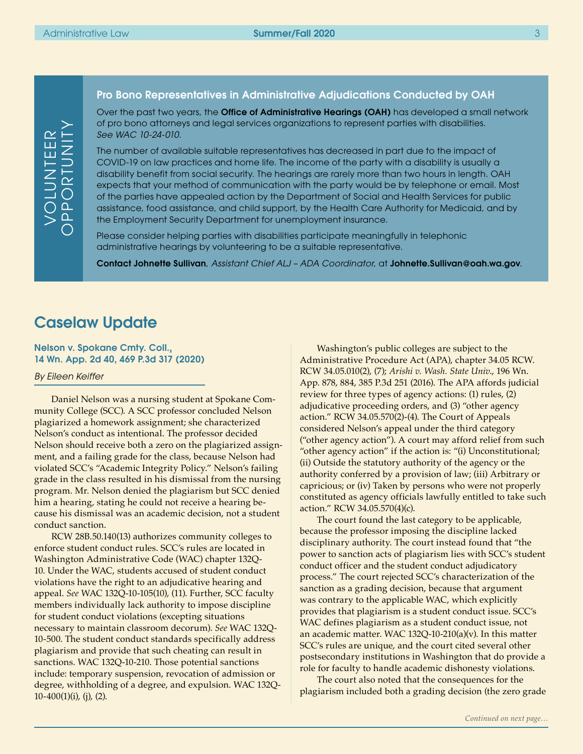## Pro Bono Representatives in Administrative Adjudications Conducted by OAH

Over the past two years, the **Office of Administrative Hearings (OAH)** has developed a small network of pro bono attorneys and legal services organizations to represent parties with disabilities. *See WAC 10-24-010*.

The number of available suitable representatives has decreased in part due to the impact of COVID-19 on law practices and home life. The income of the party with a disability is usually a disability benefit from social security. The hearings are rarely more than two hours in length. OAH expects that your method of communication with the party would be by telephone or email. Most of the parties have appealed action by the Department of Social and Health Services for public assistance, food assistance, and child support, by the Health Care Authority for Medicaid, and by the Employment Security Department for unemployment insurance.

Please consider helping parties with disabilities participate meaningfully in telephonic administrative hearings by volunteering to be a suitable representative.

Contact Johnette Sullivan, *Assistant Chief ALJ – ADA Coordinator*, at [Johnette.Sullivan@oah.wa.gov](mailto:Johnette.Sullivan%40oah.wa.gov?subject=).

# Caselaw Update

Nelson v. Spokane Cmty. Coll., 14 Wn. App. 2d 40, 469 P.3d 317 (2020)

#### *By Eileen Keiffer*

Daniel Nelson was a nursing student at Spokane Community College (SCC). A SCC professor concluded Nelson plagiarized a homework assignment; she characterized Nelson's conduct as intentional. The professor decided Nelson should receive both a zero on the plagiarized assignment, and a failing grade for the class, because Nelson had violated SCC's "Academic Integrity Policy." Nelson's failing grade in the class resulted in his dismissal from the nursing program. Mr. Nelson denied the plagiarism but SCC denied him a hearing, stating he could not receive a hearing because his dismissal was an academic decision, not a student conduct sanction.

RCW 28B.50.140(13) authorizes community colleges to enforce student conduct rules. SCC's rules are located in Washington Administrative Code (WAC) chapter 132Q-10. Under the WAC, students accused of student conduct violations have the right to an adjudicative hearing and appeal. *See* WAC 132Q-10-105(10), (11). Further, SCC faculty members individually lack authority to impose discipline for student conduct violations (excepting situations necessary to maintain classroom decorum). *See* WAC 132Q-10-500. The student conduct standards specifically address plagiarism and provide that such cheating can result in sanctions. WAC 132Q-10-210. Those potential sanctions include: temporary suspension, revocation of admission or degree, withholding of a degree, and expulsion. WAC 132Q- $10-400(1)(i)$ , (j), (2).

Washington's public colleges are subject to the Administrative Procedure Act (APA), chapter 34.05 RCW. RCW 34.05.010(2), (7); *Arishi v. Wash. State Univ*., 196 Wn. App. 878, 884, 385 P.3d 251 (2016). The APA affords judicial review for three types of agency actions: (1) rules, (2) adjudicative proceeding orders, and (3) "other agency action." RCW 34.05.570(2)-(4). The Court of Appeals considered Nelson's appeal under the third category ("other agency action"). A court may afford relief from such "other agency action" if the action is: "(i) Unconstitutional; (ii) Outside the statutory authority of the agency or the authority conferred by a provision of law; (iii) Arbitrary or capricious; or (iv) Taken by persons who were not properly constituted as agency officials lawfully entitled to take such action." RCW 34.05.570(4)(c).

The court found the last category to be applicable, because the professor imposing the discipline lacked disciplinary authority. The court instead found that "the power to sanction acts of plagiarism lies with SCC's student conduct officer and the student conduct adjudicatory process." The court rejected SCC's characterization of the sanction as a grading decision, because that argument was contrary to the applicable WAC, which explicitly provides that plagiarism is a student conduct issue. SCC's WAC defines plagiarism as a student conduct issue, not an academic matter. WAC 132Q-10-210(a)(v). In this matter SCC's rules are unique, and the court cited several other postsecondary institutions in Washington that do provide a role for faculty to handle academic dishonesty violations.

The court also noted that the consequences for the plagiarism included both a grading decision (the zero grade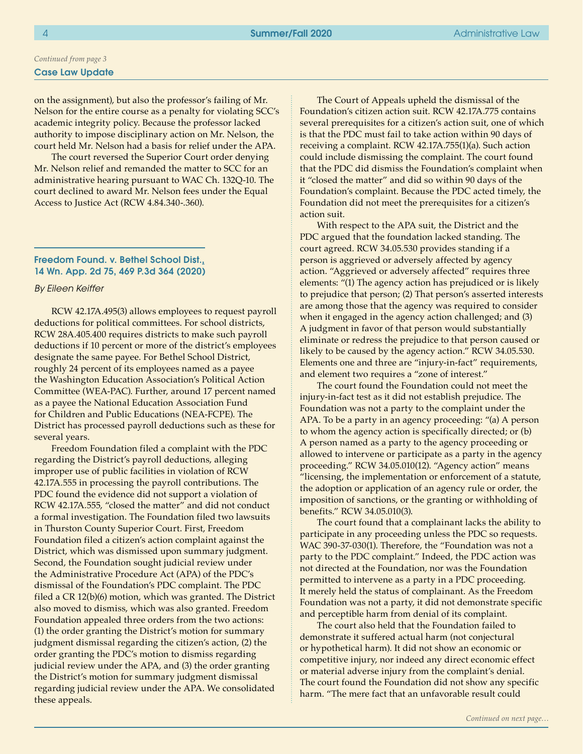# *Continued from page 3*

## Case Law Update

on the assignment), but also the professor's failing of Mr. Nelson for the entire course as a penalty for violating SCC's academic integrity policy. Because the professor lacked authority to impose disciplinary action on Mr. Nelson, the court held Mr. Nelson had a basis for relief under the APA.

The court reversed the Superior Court order denying Mr. Nelson relief and remanded the matter to SCC for an administrative hearing pursuant to WAC Ch. 132Q-10. The court declined to award Mr. Nelson fees under the Equal Access to Justice Act (RCW 4.84.340-.360).

#### Freedom Found. v. Bethel School Dist., 14 Wn. App. 2d 75, 469 P.3d 364 (2020)

#### *By Eileen Keiffer*

RCW 42.17A.495(3) allows employees to request payroll deductions for political committees. For school districts, RCW 28A.405.400 requires districts to make such payroll deductions if 10 percent or more of the district's employees designate the same payee. For Bethel School District, roughly 24 percent of its employees named as a payee the Washington Education Association's Political Action Committee (WEA-PAC). Further, around 17 percent named as a payee the National Education Association Fund for Children and Public Educations (NEA-FCPE). The District has processed payroll deductions such as these for several years.

Freedom Foundation filed a complaint with the PDC regarding the District's payroll deductions, alleging improper use of public facilities in violation of RCW 42.17A.555 in processing the payroll contributions. The PDC found the evidence did not support a violation of RCW 42.17A.555, "closed the matter" and did not conduct a formal investigation. The Foundation filed two lawsuits in Thurston County Superior Court. First, Freedom Foundation filed a citizen's action complaint against the District, which was dismissed upon summary judgment. Second, the Foundation sought judicial review under the Administrative Procedure Act (APA) of the PDC's dismissal of the Foundation's PDC complaint. The PDC filed a CR 12(b)(6) motion, which was granted. The District also moved to dismiss, which was also granted. Freedom Foundation appealed three orders from the two actions: (1) the order granting the District's motion for summary judgment dismissal regarding the citizen's action, (2) the order granting the PDC's motion to dismiss regarding judicial review under the APA, and (3) the order granting the District's motion for summary judgment dismissal regarding judicial review under the APA. We consolidated these appeals.

The Court of Appeals upheld the dismissal of the Foundation's citizen action suit. RCW 42.17A.775 contains several prerequisites for a citizen's action suit, one of which is that the PDC must fail to take action within 90 days of receiving a complaint. RCW 42.17A.755(1)(a). Such action could include dismissing the complaint. The court found that the PDC did dismiss the Foundation's complaint when it "closed the matter" and did so within 90 days of the Foundation's complaint. Because the PDC acted timely, the Foundation did not meet the prerequisites for a citizen's action suit.

With respect to the APA suit, the District and the PDC argued that the foundation lacked standing. The court agreed. RCW 34.05.530 provides standing if a person is aggrieved or adversely affected by agency action. "Aggrieved or adversely affected" requires three elements: "(1) The agency action has prejudiced or is likely to prejudice that person; (2) That person's asserted interests are among those that the agency was required to consider when it engaged in the agency action challenged; and (3) A judgment in favor of that person would substantially eliminate or redress the prejudice to that person caused or likely to be caused by the agency action." RCW 34.05.530. Elements one and three are "injury-in-fact" requirements, and element two requires a "zone of interest."

The court found the Foundation could not meet the injury-in-fact test as it did not establish prejudice. The Foundation was not a party to the complaint under the APA. To be a party in an agency proceeding: "(a) A person to whom the agency action is specifically directed; or (b) A person named as a party to the agency proceeding or allowed to intervene or participate as a party in the agency proceeding." RCW 34.05.010(12). "Agency action" means "licensing, the implementation or enforcement of a statute, the adoption or application of an agency rule or order, the imposition of sanctions, or the granting or withholding of benefits." RCW 34.05.010(3).

The court found that a complainant lacks the ability to participate in any proceeding unless the PDC so requests. WAC 390-37-030(1). Therefore, the "Foundation was not a party to the PDC complaint." Indeed, the PDC action was not directed at the Foundation, nor was the Foundation permitted to intervene as a party in a PDC proceeding. It merely held the status of complainant. As the Freedom Foundation was not a party, it did not demonstrate specific and perceptible harm from denial of its complaint.

The court also held that the Foundation failed to demonstrate it suffered actual harm (not conjectural or hypothetical harm). It did not show an economic or competitive injury, nor indeed any direct economic effect or material adverse injury from the complaint's denial. The court found the Foundation did not show any specific harm. "The mere fact that an unfavorable result could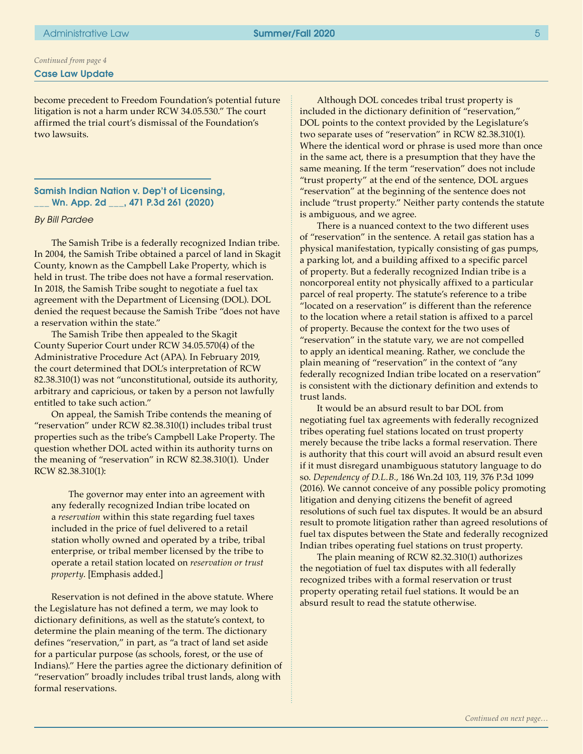## Case Law Update *Continued from page 4*

become precedent to Freedom Foundation's potential future litigation is not a harm under RCW 34.05.530." The court affirmed the trial court's dismissal of the Foundation's two lawsuits.

Samish Indian Nation v. Dep't of Licensing, \_\_\_ Wn. App. 2d \_\_\_, 471 P.3d 261 (2020)

### *By Bill Pardee*

The Samish Tribe is a federally recognized Indian tribe. In 2004, the Samish Tribe obtained a parcel of land in Skagit County, known as the Campbell Lake Property, which is held in trust. The tribe does not have a formal reservation. In 2018, the Samish Tribe sought to negotiate a fuel tax agreement with the Department of Licensing (DOL). DOL denied the request because the Samish Tribe "does not have a reservation within the state."

The Samish Tribe then appealed to the Skagit County Superior Court under RCW 34.05.570(4) of the Administrative Procedure Act (APA). In February 2019, the court determined that DOL's interpretation of RCW 82.38.310(1) was not "unconstitutional, outside its authority, arbitrary and capricious, or taken by a person not lawfully entitled to take such action."

On appeal, the Samish Tribe contends the meaning of "reservation" under RCW 82.38.310(1) includes tribal trust properties such as the tribe's Campbell Lake Property. The question whether DOL acted within its authority turns on the meaning of "reservation" in RCW 82.38.310(1). Under RCW 82.38.310(1):

The governor may enter into an agreement with any federally recognized Indian tribe located on a *reservation* within this state regarding fuel taxes included in the price of fuel delivered to a retail station wholly owned and operated by a tribe, tribal enterprise, or tribal member licensed by the tribe to operate a retail station located on *reservation or trust property*. [Emphasis added.]

Reservation is not defined in the above statute. Where the Legislature has not defined a term, we may look to dictionary definitions, as well as the statute's context, to determine the plain meaning of the term. The dictionary defines "reservation," in part, as "a tract of land set aside for a particular purpose (as schools, forest, or the use of Indians)." Here the parties agree the dictionary definition of "reservation" broadly includes tribal trust lands, along with formal reservations.

Although DOL concedes tribal trust property is included in the dictionary definition of "reservation," DOL points to the context provided by the Legislature's two separate uses of "reservation" in RCW 82.38.310(1). Where the identical word or phrase is used more than once in the same act, there is a presumption that they have the same meaning. If the term "reservation" does not include "trust property" at the end of the sentence, DOL argues "reservation" at the beginning of the sentence does not include "trust property." Neither party contends the statute is ambiguous, and we agree.

There is a nuanced context to the two different uses of "reservation" in the sentence. A retail gas station has a physical manifestation, typically consisting of gas pumps, a parking lot, and a building affixed to a specific parcel of property. But a federally recognized Indian tribe is a noncorporeal entity not physically affixed to a particular parcel of real property. The statute's reference to a tribe "located on a reservation" is different than the reference to the location where a retail station is affixed to a parcel of property. Because the context for the two uses of "reservation" in the statute vary, we are not compelled to apply an identical meaning. Rather, we conclude the plain meaning of "reservation" in the context of "any federally recognized Indian tribe located on a reservation" is consistent with the dictionary definition and extends to trust lands.

It would be an absurd result to bar DOL from negotiating fuel tax agreements with federally recognized tribes operating fuel stations located on trust property merely because the tribe lacks a formal reservation. There is authority that this court will avoid an absurd result even if it must disregard unambiguous statutory language to do so. *Dependency of D.L.B.*, 186 Wn.2d 103, 119, 376 P.3d 1099 (2016). We cannot conceive of any possible policy promoting litigation and denying citizens the benefit of agreed resolutions of such fuel tax disputes. It would be an absurd result to promote litigation rather than agreed resolutions of fuel tax disputes between the State and federally recognized Indian tribes operating fuel stations on trust property.

The plain meaning of RCW 82.32.310(1) authorizes the negotiation of fuel tax disputes with all federally recognized tribes with a formal reservation or trust property operating retail fuel stations. It would be an absurd result to read the statute otherwise.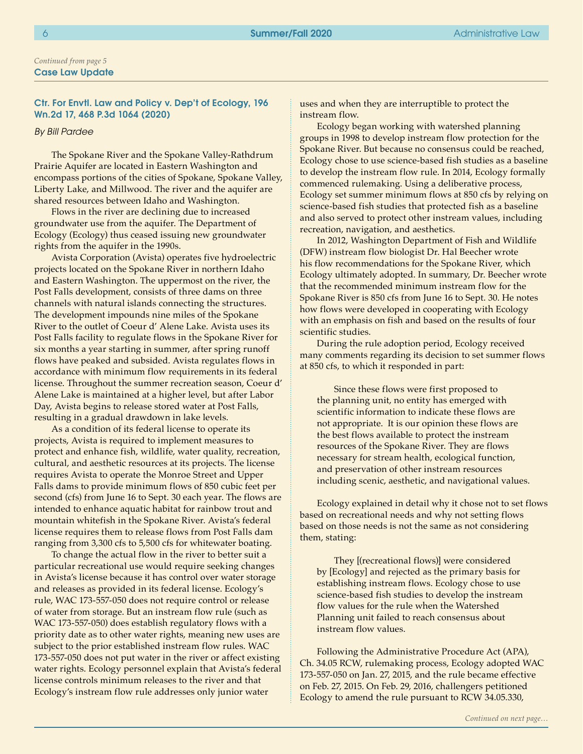### Case Law Update *Continued from page 5*

## Ctr. For Envtl. Law and Policy v. Dep't of Ecology, 196 Wn.2d 17, 468 P.3d 1064 (2020)

#### *By Bill Pardee*

The Spokane River and the Spokane Valley-Rathdrum Prairie Aquifer are located in Eastern Washington and encompass portions of the cities of Spokane, Spokane Valley, Liberty Lake, and Millwood. The river and the aquifer are shared resources between Idaho and Washington.

Flows in the river are declining due to increased groundwater use from the aquifer. The Department of Ecology (Ecology) thus ceased issuing new groundwater rights from the aquifer in the 1990s.

Avista Corporation (Avista) operates five hydroelectric projects located on the Spokane River in northern Idaho and Eastern Washington. The uppermost on the river, the Post Falls development, consists of three dams on three channels with natural islands connecting the structures. The development impounds nine miles of the Spokane River to the outlet of Coeur d' Alene Lake. Avista uses its Post Falls facility to regulate flows in the Spokane River for six months a year starting in summer, after spring runoff flows have peaked and subsided. Avista regulates flows in accordance with minimum flow requirements in its federal license. Throughout the summer recreation season, Coeur d' Alene Lake is maintained at a higher level, but after Labor Day, Avista begins to release stored water at Post Falls, resulting in a gradual drawdown in lake levels.

As a condition of its federal license to operate its projects, Avista is required to implement measures to protect and enhance fish, wildlife, water quality, recreation, cultural, and aesthetic resources at its projects. The license requires Avista to operate the Monroe Street and Upper Falls dams to provide minimum flows of 850 cubic feet per second (cfs) from June 16 to Sept. 30 each year. The flows are intended to enhance aquatic habitat for rainbow trout and mountain whitefish in the Spokane River. Avista's federal license requires them to release flows from Post Falls dam ranging from 3,300 cfs to 5,500 cfs for whitewater boating.

To change the actual flow in the river to better suit a particular recreational use would require seeking changes in Avista's license because it has control over water storage and releases as provided in its federal license. Ecology's rule, WAC 173-557-050 does not require control or release of water from storage. But an instream flow rule (such as WAC 173-557-050) does establish regulatory flows with a priority date as to other water rights, meaning new uses are subject to the prior established instream flow rules. WAC 173-557-050 does not put water in the river or affect existing water rights. Ecology personnel explain that Avista's federal license controls minimum releases to the river and that Ecology's instream flow rule addresses only junior water

uses and when they are interruptible to protect the instream flow.

Ecology began working with watershed planning groups in 1998 to develop instream flow protection for the Spokane River. But because no consensus could be reached, Ecology chose to use science-based fish studies as a baseline to develop the instream flow rule. In 2014, Ecology formally commenced rulemaking. Using a deliberative process, Ecology set summer minimum flows at 850 cfs by relying on science-based fish studies that protected fish as a baseline and also served to protect other instream values, including recreation, navigation, and aesthetics.

In 2012, Washington Department of Fish and Wildlife (DFW) instream flow biologist Dr. Hal Beecher wrote his flow recommendations for the Spokane River, which Ecology ultimately adopted. In summary, Dr. Beecher wrote that the recommended minimum instream flow for the Spokane River is 850 cfs from June 16 to Sept. 30. He notes how flows were developed in cooperating with Ecology with an emphasis on fish and based on the results of four scientific studies.

During the rule adoption period, Ecology received many comments regarding its decision to set summer flows at 850 cfs, to which it responded in part:

Since these flows were first proposed to the planning unit, no entity has emerged with scientific information to indicate these flows are not appropriate. It is our opinion these flows are the best flows available to protect the instream resources of the Spokane River. They are flows necessary for stream health, ecological function, and preservation of other instream resources including scenic, aesthetic, and navigational values.

Ecology explained in detail why it chose not to set flows based on recreational needs and why not setting flows based on those needs is not the same as not considering them, stating:

They [(recreational flows)] were considered by [Ecology] and rejected as the primary basis for establishing instream flows. Ecology chose to use science-based fish studies to develop the instream flow values for the rule when the Watershed Planning unit failed to reach consensus about instream flow values.

Following the Administrative Procedure Act (APA), Ch. 34.05 RCW, rulemaking process, Ecology adopted WAC 173-557-050 on Jan. 27, 2015, and the rule became effective on Feb. 27, 2015. On Feb. 29, 2016, challengers petitioned Ecology to amend the rule pursuant to RCW 34.05.330,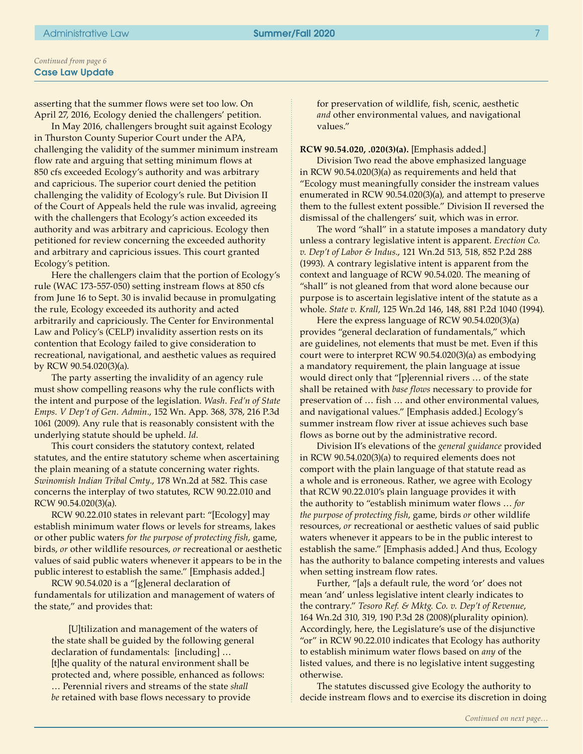### Case Law Update *Continued from page 6*

asserting that the summer flows were set too low. On April 27, 2016, Ecology denied the challengers' petition.

In May 2016, challengers brought suit against Ecology in Thurston County Superior Court under the APA, challenging the validity of the summer minimum instream flow rate and arguing that setting minimum flows at 850 cfs exceeded Ecology's authority and was arbitrary and capricious. The superior court denied the petition challenging the validity of Ecology's rule. But Division II of the Court of Appeals held the rule was invalid, agreeing with the challengers that Ecology's action exceeded its authority and was arbitrary and capricious. Ecology then petitioned for review concerning the exceeded authority and arbitrary and capricious issues. This court granted Ecology's petition.

Here the challengers claim that the portion of Ecology's rule (WAC 173-557-050) setting instream flows at 850 cfs from June 16 to Sept. 30 is invalid because in promulgating the rule, Ecology exceeded its authority and acted arbitrarily and capriciously. The Center for Environmental Law and Policy's (CELP) invalidity assertion rests on its contention that Ecology failed to give consideration to recreational, navigational, and aesthetic values as required by RCW 90.54.020(3)(a).

The party asserting the invalidity of an agency rule must show compelling reasons why the rule conflicts with the intent and purpose of the legislation. *Wash. Fed'n of State Emps. V Dep't of Gen. Admin.*, 152 Wn. App. 368, 378, 216 P.3d 1061 (2009). Any rule that is reasonably consistent with the underlying statute should be upheld. *Id.* 

This court considers the statutory context, related statutes, and the entire statutory scheme when ascertaining the plain meaning of a statute concerning water rights. *Swinomish Indian Tribal Cmty.*, 178 Wn.2d at 582. This case concerns the interplay of two statutes, RCW 90.22.010 and RCW 90.54.020(3)(a).

RCW 90.22.010 states in relevant part: "[Ecology] may establish minimum water flows or levels for streams, lakes or other public waters *for the purpose of protecting fish*, game, birds, *or* other wildlife resources, *or* recreational or aesthetic values of said public waters whenever it appears to be in the public interest to establish the same." [Emphasis added.]

RCW 90.54.020 is a "[g]eneral declaration of fundamentals for utilization and management of waters of the state," and provides that:

[U]tilization and management of the waters of the state shall be guided by the following general declaration of fundamentals: [including] … [t]he quality of the natural environment shall be protected and, where possible, enhanced as follows: … Perennial rivers and streams of the state *shall be* retained with base flows necessary to provide

for preservation of wildlife, fish, scenic, aesthetic *and* other environmental values, and navigational values."

**RCW 90.54.020, .020(3)(a).** [Emphasis added.]

Division Two read the above emphasized language in RCW 90.54.020(3)(a) as requirements and held that "Ecology must meaningfully consider the instream values enumerated in RCW 90.54.020(3)(a), and attempt to preserve them to the fullest extent possible." Division II reversed the dismissal of the challengers' suit, which was in error.

The word "shall" in a statute imposes a mandatory duty unless a contrary legislative intent is apparent. *Erection Co. v. Dep't of Labor & Indus.*, 121 Wn.2d 513, 518, 852 P.2d 288 (1993). A contrary legislative intent is apparent from the context and language of RCW 90.54.020. The meaning of "shall" is not gleaned from that word alone because our purpose is to ascertain legislative intent of the statute as a whole. *State v. Krall*, 125 Wn.2d 146, 148, 881 P.2d 1040 (1994).

Here the express language of RCW 90.54.020(3)(a) provides "general declaration of fundamentals," which are guidelines, not elements that must be met. Even if this court were to interpret RCW 90.54.020(3)(a) as embodying a mandatory requirement, the plain language at issue would direct only that "[p]erennial rivers … of the state shall be retained with *base flows* necessary to provide for preservation of … fish … and other environmental values, and navigational values." [Emphasis added.] Ecology's summer instream flow river at issue achieves such base flows as borne out by the administrative record.

Division II's elevations of the *general guidance* provided in RCW 90.54.020(3)(a) to required elements does not comport with the plain language of that statute read as a whole and is erroneous. Rather, we agree with Ecology that RCW 90.22.010's plain language provides it with the authority to "establish minimum water flows … *for the purpose of protecting fish*, game, birds *or* other wildlife resources, *or* recreational or aesthetic values of said public waters whenever it appears to be in the public interest to establish the same." [Emphasis added.] And thus, Ecology has the authority to balance competing interests and values when setting instream flow rates.

Further, "[a]s a default rule, the word 'or' does not mean 'and' unless legislative intent clearly indicates to the contrary." *Tesoro Ref. & Mktg. Co. v. Dep't of Revenue*, 164 Wn.2d 310, 319, 190 P.3d 28 (2008)(plurality opinion). Accordingly, here, the Legislature's use of the disjunctive "or" in RCW 90.22.010 indicates that Ecology has authority to establish minimum water flows based on *any* of the listed values, and there is no legislative intent suggesting otherwise.

The statutes discussed give Ecology the authority to decide instream flows and to exercise its discretion in doing